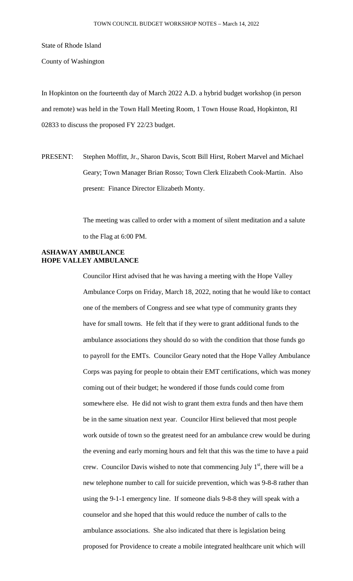State of Rhode Island

County of Washington

In Hopkinton on the fourteenth day of March 2022 A.D. a hybrid budget workshop (in person and remote) was held in the Town Hall Meeting Room, 1 Town House Road, Hopkinton, RI 02833 to discuss the proposed FY 22/23 budget.

PRESENT: Stephen Moffitt, Jr., Sharon Davis, Scott Bill Hirst, Robert Marvel and Michael Geary; Town Manager Brian Rosso; Town Clerk Elizabeth Cook-Martin. Also present: Finance Director Elizabeth Monty.

> The meeting was called to order with a moment of silent meditation and a salute to the Flag at 6:00 PM.

## **ASHAWAY AMBULANCE HOPE VALLEY AMBULANCE**

Councilor Hirst advised that he was having a meeting with the Hope Valley Ambulance Corps on Friday, March 18, 2022, noting that he would like to contact one of the members of Congress and see what type of community grants they have for small towns. He felt that if they were to grant additional funds to the ambulance associations they should do so with the condition that those funds go to payroll for the EMTs. Councilor Geary noted that the Hope Valley Ambulance Corps was paying for people to obtain their EMT certifications, which was money coming out of their budget; he wondered if those funds could come from somewhere else. He did not wish to grant them extra funds and then have them be in the same situation next year. Councilor Hirst believed that most people work outside of town so the greatest need for an ambulance crew would be during the evening and early morning hours and felt that this was the time to have a paid crew. Councilor Davis wished to note that commencing July  $1<sup>st</sup>$ , there will be a new telephone number to call for suicide prevention, which was 9-8-8 rather than using the 9-1-1 emergency line. If someone dials 9-8-8 they will speak with a counselor and she hoped that this would reduce the number of calls to the ambulance associations. She also indicated that there is legislation being proposed for Providence to create a mobile integrated healthcare unit which will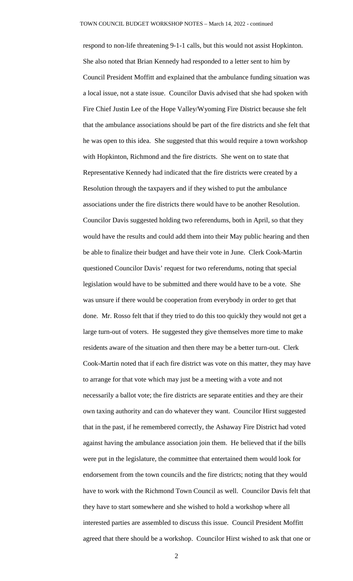respond to non-life threatening 9-1-1 calls, but this would not assist Hopkinton. She also noted that Brian Kennedy had responded to a letter sent to him by Council President Moffitt and explained that the ambulance funding situation was a local issue, not a state issue. Councilor Davis advised that she had spoken with Fire Chief Justin Lee of the Hope Valley/Wyoming Fire District because she felt that the ambulance associations should be part of the fire districts and she felt that he was open to this idea. She suggested that this would require a town workshop with Hopkinton, Richmond and the fire districts. She went on to state that Representative Kennedy had indicated that the fire districts were created by a Resolution through the taxpayers and if they wished to put the ambulance associations under the fire districts there would have to be another Resolution. Councilor Davis suggested holding two referendums, both in April, so that they would have the results and could add them into their May public hearing and then be able to finalize their budget and have their vote in June. Clerk Cook-Martin questioned Councilor Davis' request for two referendums, noting that special legislation would have to be submitted and there would have to be a vote. She was unsure if there would be cooperation from everybody in order to get that done. Mr. Rosso felt that if they tried to do this too quickly they would not get a large turn-out of voters. He suggested they give themselves more time to make residents aware of the situation and then there may be a better turn-out. Clerk Cook-Martin noted that if each fire district was vote on this matter, they may have to arrange for that vote which may just be a meeting with a vote and not necessarily a ballot vote; the fire districts are separate entities and they are their own taxing authority and can do whatever they want. Councilor Hirst suggested that in the past, if he remembered correctly, the Ashaway Fire District had voted against having the ambulance association join them. He believed that if the bills were put in the legislature, the committee that entertained them would look for endorsement from the town councils and the fire districts; noting that they would have to work with the Richmond Town Council as well. Councilor Davis felt that they have to start somewhere and she wished to hold a workshop where all interested parties are assembled to discuss this issue. Council President Moffitt agreed that there should be a workshop. Councilor Hirst wished to ask that one or

2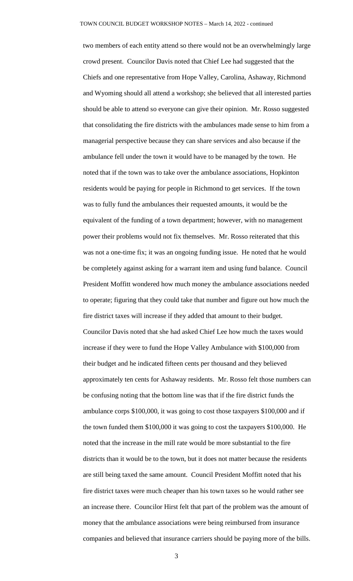two members of each entity attend so there would not be an overwhelmingly large crowd present. Councilor Davis noted that Chief Lee had suggested that the Chiefs and one representative from Hope Valley, Carolina, Ashaway, Richmond and Wyoming should all attend a workshop; she believed that all interested parties should be able to attend so everyone can give their opinion. Mr. Rosso suggested that consolidating the fire districts with the ambulances made sense to him from a managerial perspective because they can share services and also because if the ambulance fell under the town it would have to be managed by the town. He noted that if the town was to take over the ambulance associations, Hopkinton residents would be paying for people in Richmond to get services. If the town was to fully fund the ambulances their requested amounts, it would be the equivalent of the funding of a town department; however, with no management power their problems would not fix themselves. Mr. Rosso reiterated that this was not a one-time fix; it was an ongoing funding issue. He noted that he would be completely against asking for a warrant item and using fund balance. Council President Moffitt wondered how much money the ambulance associations needed to operate; figuring that they could take that number and figure out how much the fire district taxes will increase if they added that amount to their budget. Councilor Davis noted that she had asked Chief Lee how much the taxes would increase if they were to fund the Hope Valley Ambulance with \$100,000 from their budget and he indicated fifteen cents per thousand and they believed approximately ten cents for Ashaway residents. Mr. Rosso felt those numbers can be confusing noting that the bottom line was that if the fire district funds the ambulance corps \$100,000, it was going to cost those taxpayers \$100,000 and if the town funded them \$100,000 it was going to cost the taxpayers \$100,000. He noted that the increase in the mill rate would be more substantial to the fire districts than it would be to the town, but it does not matter because the residents are still being taxed the same amount. Council President Moffitt noted that his fire district taxes were much cheaper than his town taxes so he would rather see an increase there. Councilor Hirst felt that part of the problem was the amount of money that the ambulance associations were being reimbursed from insurance companies and believed that insurance carriers should be paying more of the bills.

3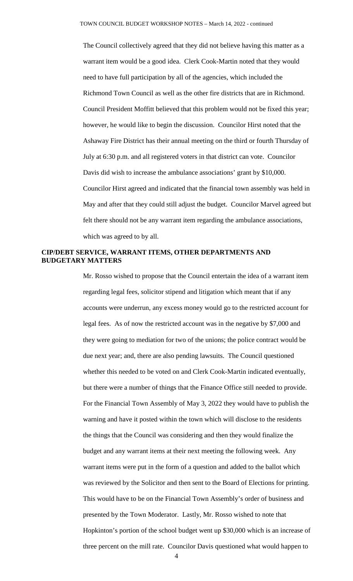The Council collectively agreed that they did not believe having this matter as a warrant item would be a good idea. Clerk Cook-Martin noted that they would need to have full participation by all of the agencies, which included the Richmond Town Council as well as the other fire districts that are in Richmond. Council President Moffitt believed that this problem would not be fixed this year; however, he would like to begin the discussion. Councilor Hirst noted that the Ashaway Fire District has their annual meeting on the third or fourth Thursday of July at 6:30 p.m. and all registered voters in that district can vote. Councilor Davis did wish to increase the ambulance associations' grant by \$10,000. Councilor Hirst agreed and indicated that the financial town assembly was held in May and after that they could still adjust the budget. Councilor Marvel agreed but felt there should not be any warrant item regarding the ambulance associations, which was agreed to by all.

## **CIP/DEBT SERVICE, WARRANT ITEMS, OTHER DEPARTMENTS AND BUDGETARY MATTERS**

Mr. Rosso wished to propose that the Council entertain the idea of a warrant item regarding legal fees, solicitor stipend and litigation which meant that if any accounts were underrun, any excess money would go to the restricted account for legal fees. As of now the restricted account was in the negative by \$7,000 and they were going to mediation for two of the unions; the police contract would be due next year; and, there are also pending lawsuits. The Council questioned whether this needed to be voted on and Clerk Cook-Martin indicated eventually, but there were a number of things that the Finance Office still needed to provide. For the Financial Town Assembly of May 3, 2022 they would have to publish the warning and have it posted within the town which will disclose to the residents the things that the Council was considering and then they would finalize the budget and any warrant items at their next meeting the following week. Any warrant items were put in the form of a question and added to the ballot which was reviewed by the Solicitor and then sent to the Board of Elections for printing. This would have to be on the Financial Town Assembly's order of business and presented by the Town Moderator. Lastly, Mr. Rosso wished to note that Hopkinton's portion of the school budget went up \$30,000 which is an increase of three percent on the mill rate. Councilor Davis questioned what would happen to

4